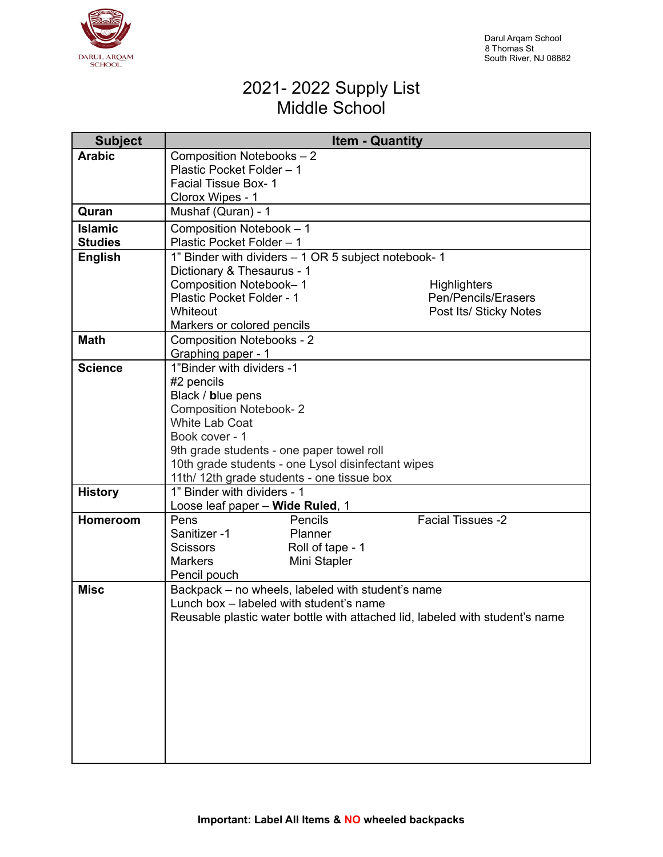

## 2021- 2022 Supply List Middle School

| <b>Subject</b> | <b>Item - Quantity</b>                               |                                                                              |  |
|----------------|------------------------------------------------------|------------------------------------------------------------------------------|--|
| <b>Arabic</b>  | Composition Notebooks - 2                            |                                                                              |  |
|                | Plastic Pocket Folder - 1                            |                                                                              |  |
|                | <b>Facial Tissue Box-1</b>                           |                                                                              |  |
|                | Clorox Wipes - 1                                     |                                                                              |  |
| Quran          | Mushaf (Quran) - 1                                   |                                                                              |  |
| <b>Islamic</b> | Composition Notebook - 1                             |                                                                              |  |
| <b>Studies</b> | Plastic Pocket Folder - 1                            |                                                                              |  |
| <b>English</b> | 1" Binder with dividers - 1 OR 5 subject notebook- 1 |                                                                              |  |
|                | Dictionary & Thesaurus - 1                           |                                                                              |  |
|                | Composition Notebook-1                               | Highlighters                                                                 |  |
|                | Plastic Pocket Folder - 1                            | Pen/Pencils/Erasers                                                          |  |
|                | Whiteout                                             | Post Its/ Sticky Notes                                                       |  |
|                | Markers or colored pencils                           |                                                                              |  |
| <b>Math</b>    | <b>Composition Notebooks - 2</b>                     |                                                                              |  |
|                | Graphing paper - 1                                   |                                                                              |  |
| <b>Science</b> | 1"Binder with dividers -1                            |                                                                              |  |
|                | #2 pencils                                           |                                                                              |  |
|                | Black / blue pens                                    |                                                                              |  |
|                | <b>Composition Notebook-2</b><br>White Lab Coat      |                                                                              |  |
|                | Book cover - 1                                       |                                                                              |  |
|                | 9th grade students - one paper towel roll            |                                                                              |  |
|                | 10th grade students - one Lysol disinfectant wipes   |                                                                              |  |
|                | 11th/ 12th grade students - one tissue box           |                                                                              |  |
| <b>History</b> | 1" Binder with dividers - 1                          |                                                                              |  |
|                | Loose leaf paper - Wide Ruled, 1                     |                                                                              |  |
| Homeroom       | Pencils<br>Pens                                      | Facial Tissues -2                                                            |  |
|                | Sanitizer -1<br>Planner                              |                                                                              |  |
|                | Roll of tape - 1<br><b>Scissors</b>                  |                                                                              |  |
|                | <b>Markers</b><br>Mini Stapler                       |                                                                              |  |
|                | Pencil pouch                                         |                                                                              |  |
| <b>Misc</b>    | Backpack - no wheels, labeled with student's name    |                                                                              |  |
|                | Lunch box - labeled with student's name              |                                                                              |  |
|                |                                                      | Reusable plastic water bottle with attached lid, labeled with student's name |  |
|                |                                                      |                                                                              |  |
|                |                                                      |                                                                              |  |
|                |                                                      |                                                                              |  |
|                |                                                      |                                                                              |  |
|                |                                                      |                                                                              |  |
|                |                                                      |                                                                              |  |
|                |                                                      |                                                                              |  |
|                |                                                      |                                                                              |  |
|                |                                                      |                                                                              |  |
|                |                                                      |                                                                              |  |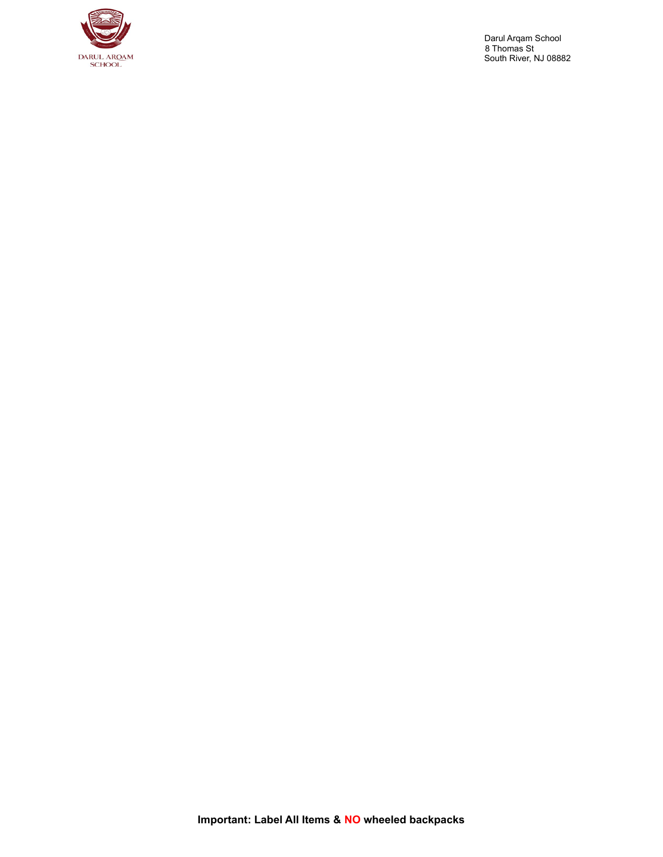

Darul Arqam School 8 Thomas St South River, NJ 08882